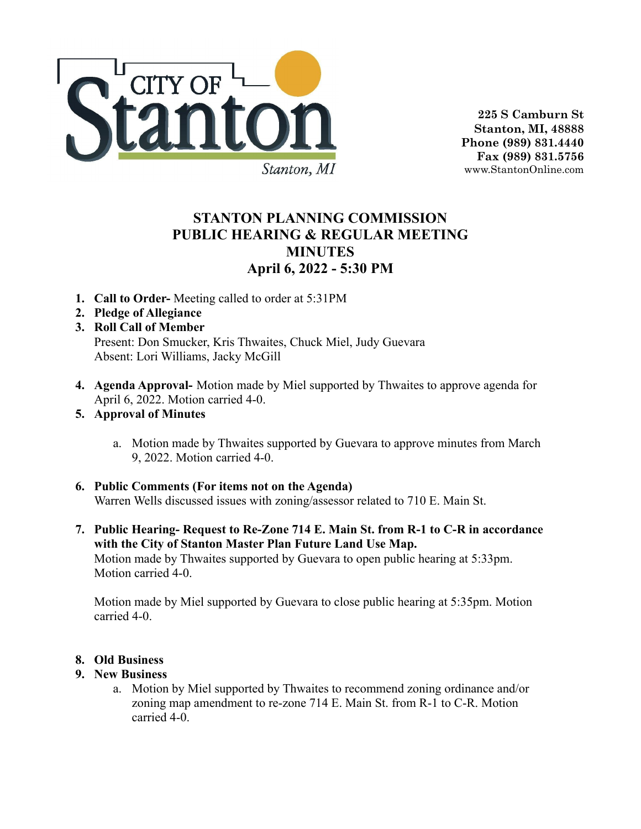

**225 S Camburn St Stanton, MI, 48888 Phone (989) 831.4440 Fax (989) 831.5756** www.StantonOnline.com

## **STANTON PLANNING COMMISSION PUBLIC HEARING & REGULAR MEETING MINUTES April 6, 2022 - 5:30 PM**

- **1. Call to Order-** Meeting called to order at 5:31PM
- **2. Pledge of Allegiance**
- **3. Roll Call of Member** Present: Don Smucker, Kris Thwaites, Chuck Miel, Judy Guevara Absent: Lori Williams, Jacky McGill
- **4. Agenda Approval-** Motion made by Miel supported by Thwaites to approve agenda for April 6, 2022. Motion carried 4-0.
- **5. Approval of Minutes**
	- a. Motion made by Thwaites supported by Guevara to approve minutes from March 9, 2022. Motion carried 4-0.
- **6. Public Comments (For items not on the Agenda)** Warren Wells discussed issues with zoning/assessor related to 710 E. Main St.
- **7. Public Hearing- Request to Re-Zone 714 E. Main St. from R-1 to C-R in accordance with the City of Stanton Master Plan Future Land Use Map.** Motion made by Thwaites supported by Guevara to open public hearing at 5:33pm. Motion carried 4-0.

Motion made by Miel supported by Guevara to close public hearing at 5:35pm. Motion carried 4-0.

## **8. Old Business**

## **9. New Business**

a. Motion by Miel supported by Thwaites to recommend zoning ordinance and/or zoning map amendment to re-zone 714 E. Main St. from R-1 to C-R. Motion carried 4-0.